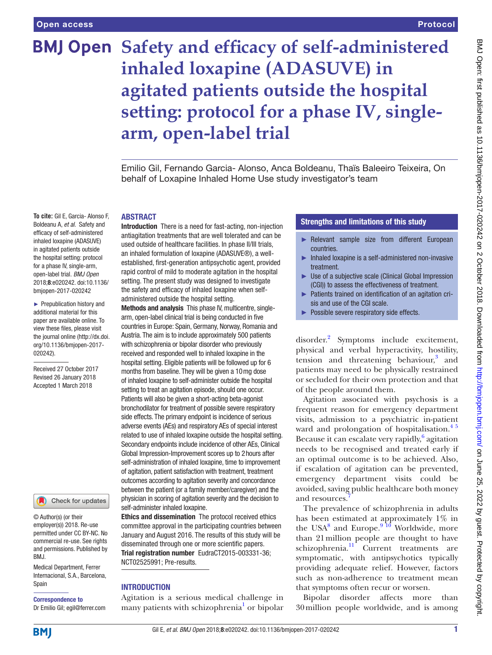# Protocol

# **BMJ Open Safety and efficacy of self-administered inhaled loxapine (ADASUVE) in agitated patients outside the hospital setting: protocol for a phase IV, singlearm, open-label trial**

Emilio Gil, Fernando Garcia- Alonso, Anca Boldeanu, Thaïs Baleeiro Teixeira, On behalf of Loxapine Inhaled Home Use study investigator's team

#### **ABSTRACT**

**To cite:** Gil E, Garcia- Alonso F, Boldeanu A, *et al*. Safety and efficacy of self-administered inhaled loxapine (ADASUVE) in agitated patients outside the hospital setting: protocol for a phase IV, single-arm, open-label trial. *BMJ Open* 2018;8:e020242. doi:10.1136/ bmjopen-2017-020242

► Prepublication history and additional material for this paper are available online. To view these files, please visit the journal online [\(http://dx.doi.](http://dx.doi.org/10.1136/bmjopen-2017-020242) [org/10.1136/bmjopen-2017-](http://dx.doi.org/10.1136/bmjopen-2017-020242) [020242\)](http://dx.doi.org/10.1136/bmjopen-2017-020242).

Received 27 October 2017 Revised 26 January 2018 Accepted 1 March 2018



© Author(s) (or their employer(s)) 2018. Re-use permitted under CC BY-NC. No commercial re-use. See rights and permissions. Published by BMJ.

Medical Department, Ferrer Internacional, S.A., Barcelona, Spain

#### Correspondence to Dr Emilio Gil; egil@ferrer.com

Introduction There is a need for fast-acting, non-injection antiagitation treatments that are well tolerated and can be used outside of healthcare facilities. In phase II/III trials, an inhaled formulation of loxapine (ADASUVE®), a wellestablished, first-generation antipsychotic agent, provided rapid control of mild to moderate agitation in the hospital setting. The present study was designed to investigate the safety and efficacy of inhaled loxapine when selfadministered outside the hospital setting.

Methods and analysis This phase IV, multicentre, singlearm, open-label clinical trial is being conducted in five countries in Europe: Spain, Germany, Norway, Romania and Austria. The aim is to include approximately 500 patients with schizophrenia or bipolar disorder who previously received and responded well to inhaled loxapine in the hospital setting. Eligible patients will be followed up for 6 months from baseline. They will be given a 10mg dose of inhaled loxapine to self-administer outside the hospital setting to treat an agitation episode, should one occur. Patients will also be given a short-acting beta-agonist bronchodilator for treatment of possible severe respiratory side effects. The primary endpoint is incidence of serious adverse events (AEs) and respiratory AEs of special interest related to use of inhaled loxapine outside the hospital setting. Secondary endpoints include incidence of other AEs, Clinical Global Impression-Improvement scores up to 2hours after self-administration of inhaled loxapine, time to improvement of agitation, patient satisfaction with treatment, treatment outcomes according to agitation severity and concordance between the patient (or a family member/caregiver) and the physician in scoring of agitation severity and the decision to self-administer inhaled loxapine.

Ethics and dissemination The protocol received ethics committee approval in the participating countries between January and August 2016. The results of this study will be disseminated through one or more scientific papers. Trial registration number EudraCT2015-003331-36; <NCT02525991>; Pre-results.

## **INTRODUCTION**

Agitation is a serious medical challenge in many patients with schizophrenia<sup>1</sup> or bipolar

## Strengths and limitations of this study

- ► Relevant sample size from different European countries.
- ► Inhaled loxapine is a self-administered non-invasive treatment.
- ► Use of a subjective scale (Clinical Global Impression (CGI)) to assess the effectiveness of treatment.
- ► Patients trained on identification of an agitation crisis and use of the CGI scale.
- ► Possible severe respiratory side effects.

disorder.<sup>[2](#page-6-1)</sup> Symptoms include excitement, physical and verbal hyperactivity, hostility, tension and threatening behaviour,<sup>[3](#page-6-2)</sup> and patients may need to be physically restrained or secluded for their own protection and that of the people around them.

Agitation associated with psychosis is a frequent reason for emergency department visits, admission to a psychiatric in-patient ward and prolongation of hospitalisation.<sup>45</sup> Because it can escalate very rapidly,<sup>[6](#page-6-4)</sup> agitation needs to be recognised and treated early if an optimal outcome is to be achieved. Also, if escalation of agitation can be prevented, emergency department visits could be avoided, saving public healthcare both money and resources.

The prevalence of schizophrenia in adults has been estimated at approximately 1% in the USA $^8$  $^8$  and Europe. $^{9\,10}$  Worldwide, more than 21million people are thought to have schizophrenia.<sup>11</sup> Current treatments are symptomatic, with antipsychotics typically providing adequate relief. However, factors such as non-adherence to treatment mean that symptoms often recur or worsen.

Bipolar disorder affects more than 30million people worldwide, and is among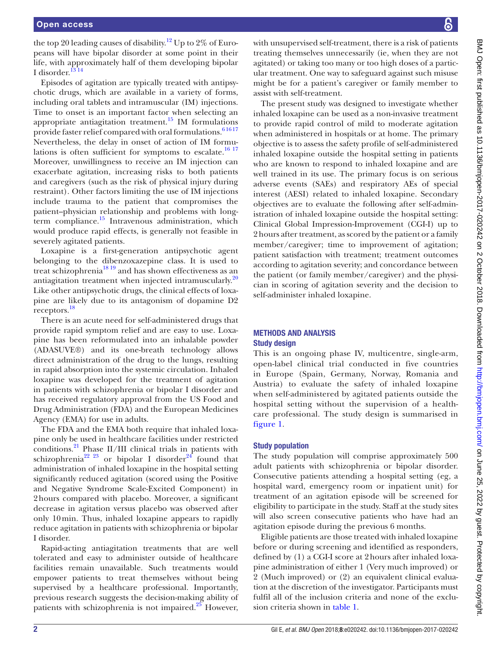the top 20 leading causes of disability.<sup>12</sup> Up to 2\% of Europeans will have bipolar disorder at some point in their life, with approximately half of them developing bipolar I disorder. $1314$ 

Episodes of agitation are typically treated with antipsychotic drugs, which are available in a variety of forms, including oral tablets and intramuscular (IM) injections. Time to onset is an important factor when selecting an appropriate antiagitation treatment.<sup>[15](#page-6-11)</sup> IM formulations provide faster relief compared with oral formulations. $61617$ Nevertheless, the delay in onset of action of IM formu-lations is often sufficient for symptoms to escalate.<sup>[16 17](#page-6-12)</sup> Moreover, unwillingness to receive an IM injection can exacerbate agitation, increasing risks to both patients and caregivers (such as the risk of physical injury during restraint). Other factors limiting the use of IM injections include trauma to the patient that compromises the patient–physician relationship and problems with long-term compliance.<sup>[15](#page-6-11)</sup> Intravenous administration, which would produce rapid effects, is generally not feasible in severely agitated patients.

Loxapine is a first-generation antipsychotic agent belonging to the dibenzoxazepine class. It is used to treat schizophrenia<sup>[18 19](#page-6-13)</sup> and has shown effectiveness as an antiagitation treatment when injected intramuscularly.<sup>[20](#page-6-14)</sup> Like other antipsychotic drugs, the clinical effects of loxapine are likely due to its antagonism of dopamine D2 receptors.[18](#page-6-13)

There is an acute need for self-administered drugs that provide rapid symptom relief and are easy to use. Loxapine has been reformulated into an inhalable powder (ADASUVE®) and its one-breath technology allows direct administration of the drug to the lungs, resulting in rapid absorption into the systemic circulation. Inhaled loxapine was developed for the treatment of agitation in patients with schizophrenia or bipolar I disorder and has received regulatory approval from the US Food and Drug Administration (FDA) and the European Medicines Agency (EMA) for use in adults.

The FDA and the EMA both require that inhaled loxapine only be used in healthcare facilities under restricted conditions. $^{21}$  Phase II/III clinical trials in patients with schizophrenia<sup>22</sup> <sup>23</sup> or bipolar I disorder<sup>[24](#page-6-17)</sup> found that administration of inhaled loxapine in the hospital setting significantly reduced agitation (scored using the Positive and Negative Syndrome Scale-Excited Component) in 2hours compared with placebo. Moreover, a significant decrease in agitation versus placebo was observed after only 10min. Thus, inhaled loxapine appears to rapidly reduce agitation in patients with schizophrenia or bipolar I disorder.

Rapid-acting antiagitation treatments that are well tolerated and easy to administer outside of healthcare facilities remain unavailable. Such treatments would empower patients to treat themselves without being supervised by a healthcare professional. Importantly, previous research suggests the decision-making ability of patients with schizophrenia is not impaired. $25$  However,

with unsupervised self-treatment, there is a risk of patients treating themselves unnecessarily (ie, when they are not agitated) or taking too many or too high doses of a particular treatment. One way to safeguard against such misuse might be for a patient's caregiver or family member to assist with self-treatment.

The present study was designed to investigate whether inhaled loxapine can be used as a non-invasive treatment to provide rapid control of mild to moderate agitation when administered in hospitals or at home. The primary objective is to assess the safety profile of self-administered inhaled loxapine outside the hospital setting in patients who are known to respond to inhaled loxapine and are well trained in its use. The primary focus is on serious adverse events (SAEs) and respiratory AEs of special interest (AESI) related to inhaled loxapine. Secondary objectives are to evaluate the following after self-administration of inhaled loxapine outside the hospital setting: Clinical Global Impression-Improvement (CGI-I) up to 2hours after treatment, as scored by the patient or a family member/caregiver; time to improvement of agitation; patient satisfaction with treatment; treatment outcomes according to agitation severity; and concordance between the patient (or family member/caregiver) and the physician in scoring of agitation severity and the decision to self-administer inhaled loxapine.

## Methods and analysis Study design

This is an ongoing phase IV, multicentre, single-arm, open-label clinical trial conducted in five countries in Europe (Spain, Germany, Norway, Romania and Austria) to evaluate the safety of inhaled loxapine when self-administered by agitated patients outside the hospital setting without the supervision of a healthcare professional. The study design is summarised in [figure](#page-2-0) 1.

## Study population

The study population will comprise approximately 500 adult patients with schizophrenia or bipolar disorder. Consecutive patients attending a hospital setting (eg, a hospital ward, emergency room or inpatient unit) for treatment of an agitation episode will be screened for eligibility to participate in the study. Staff at the study sites will also screen consecutive patients who have had an agitation episode during the previous 6 months.

Eligible patients are those treated with inhaled loxapine before or during screening and identified as responders, defined by (1) a CGI-I score at 2hours after inhaled loxapine administration of either 1 (Very much improved) or 2 (Much improved) or (2) an equivalent clinical evaluation at the discretion of the investigator. Participants must fulfil all of the inclusion criteria and none of the exclusion criteria shown in [table](#page-3-0) 1.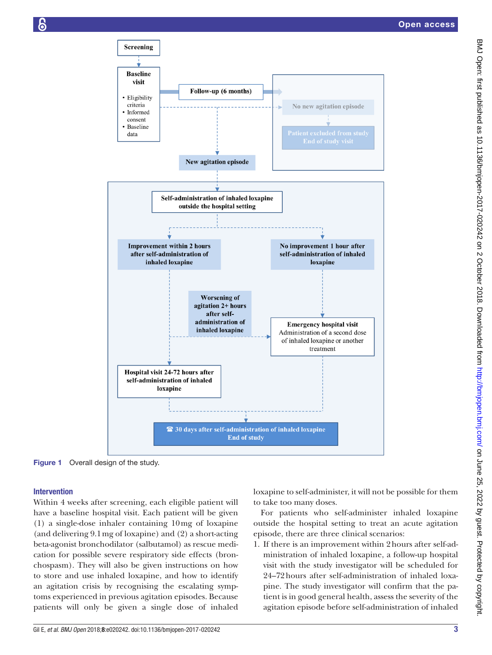



Figure 1 Overall design of the study.

## Intervention

Within 4 weeks after screening, each eligible patient will have a baseline hospital visit. Each patient will be given (1) a single-dose inhaler containing 10mg of loxapine (and delivering 9.1mg of loxapine) and (2) a short-acting beta-agonist bronchodilator (salbutamol) as rescue medication for possible severe respiratory side effects (bronchospasm). They will also be given instructions on how to store and use inhaled loxapine, and how to identify an agitation crisis by recognising the escalating symptoms experienced in previous agitation episodes. Because patients will only be given a single dose of inhaled

<span id="page-2-0"></span>loxapine to self-administer, it will not be possible for them to take too many doses.

For patients who self-administer inhaled loxapine outside the hospital setting to treat an acute agitation episode, there are three clinical scenarios:

1. If there is an improvement within 2hours after self-administration of inhaled loxapine, a follow-up hospital visit with the study investigator will be scheduled for 24–72hours after self-administration of inhaled loxapine. The study investigator will confirm that the patient is in good general health, assess the severity of the agitation episode before self-administration of inhaled BMJ Open: first published as 10.1136/bmjopen-2017-020242 on 2 October 2018. Downloaded from http://bmjopen.bmj.com/ on June 25, 2022 by guest. Protected by copyright BMJ Open: first published as 10.1136/bmjopen-2017-020242 on 2 October 2018. Downloaded from <http://bmjopen.bmj.com/> on June 25, 2022 by guest. Protected by copyright.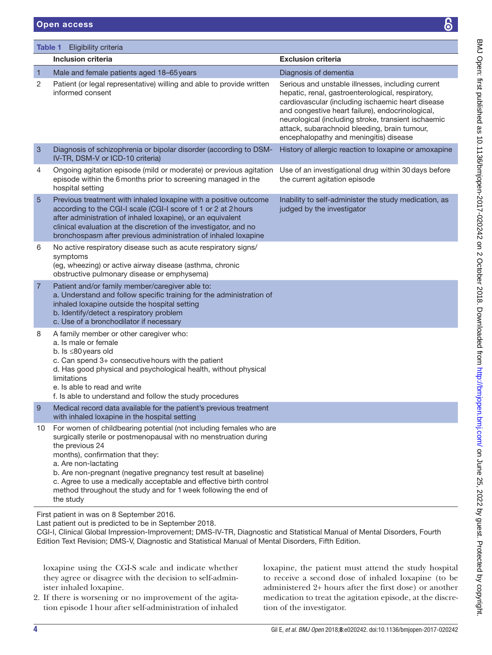<span id="page-3-0"></span>

| <b>Table 1</b><br>Eligibility criteria |                                                                                                                                                                                                                                                                                                                                                                                                                                                 |                                                                                                                                                                                                                                                                                                                                                                  |
|----------------------------------------|-------------------------------------------------------------------------------------------------------------------------------------------------------------------------------------------------------------------------------------------------------------------------------------------------------------------------------------------------------------------------------------------------------------------------------------------------|------------------------------------------------------------------------------------------------------------------------------------------------------------------------------------------------------------------------------------------------------------------------------------------------------------------------------------------------------------------|
|                                        | <b>Inclusion criteria</b>                                                                                                                                                                                                                                                                                                                                                                                                                       | <b>Exclusion criteria</b>                                                                                                                                                                                                                                                                                                                                        |
| 1                                      | Male and female patients aged 18-65 years                                                                                                                                                                                                                                                                                                                                                                                                       | Diagnosis of dementia                                                                                                                                                                                                                                                                                                                                            |
| 2                                      | Patient (or legal representative) willing and able to provide written<br>informed consent                                                                                                                                                                                                                                                                                                                                                       | Serious and unstable illnesses, including current<br>hepatic, renal, gastroenterological, respiratory,<br>cardiovascular (including ischaemic heart disease<br>and congestive heart failure), endocrinological,<br>neurological (including stroke, transient ischaemic<br>attack, subarachnoid bleeding, brain tumour,<br>encephalopathy and meningitis) disease |
| 3                                      | Diagnosis of schizophrenia or bipolar disorder (according to DSM-<br>IV-TR, DSM-V or ICD-10 criteria)                                                                                                                                                                                                                                                                                                                                           | History of allergic reaction to loxapine or amoxapine                                                                                                                                                                                                                                                                                                            |
| 4                                      | Ongoing agitation episode (mild or moderate) or previous agitation<br>episode within the 6 months prior to screening managed in the<br>hospital setting                                                                                                                                                                                                                                                                                         | Use of an investigational drug within 30 days before<br>the current agitation episode                                                                                                                                                                                                                                                                            |
| 5                                      | Previous treatment with inhaled loxapine with a positive outcome<br>according to the CGI-I scale (CGI-I score of 1 or 2 at 2 hours<br>after administration of inhaled loxapine), or an equivalent<br>clinical evaluation at the discretion of the investigator, and no<br>bronchospasm after previous administration of inhaled loxapine                                                                                                        | Inability to self-administer the study medication, as<br>judged by the investigator                                                                                                                                                                                                                                                                              |
| 6                                      | No active respiratory disease such as acute respiratory signs/<br>symptoms<br>(eg, wheezing) or active airway disease (asthma, chronic<br>obstructive pulmonary disease or emphysema)                                                                                                                                                                                                                                                           |                                                                                                                                                                                                                                                                                                                                                                  |
| $\overline{7}$                         | Patient and/or family member/caregiver able to:<br>a. Understand and follow specific training for the administration of<br>inhaled loxapine outside the hospital setting<br>b. Identify/detect a respiratory problem<br>c. Use of a bronchodilator if necessary                                                                                                                                                                                 |                                                                                                                                                                                                                                                                                                                                                                  |
| 8                                      | A family member or other caregiver who:<br>a. Is male or female<br>b. Is $\leq 80$ years old<br>c. Can spend 3+ consecutive hours with the patient<br>d. Has good physical and psychological health, without physical<br>limitations<br>e. Is able to read and write<br>f. Is able to understand and follow the study procedures                                                                                                                |                                                                                                                                                                                                                                                                                                                                                                  |
| 9                                      | Medical record data available for the patient's previous treatment<br>with inhaled loxapine in the hospital setting                                                                                                                                                                                                                                                                                                                             |                                                                                                                                                                                                                                                                                                                                                                  |
| 10                                     | For women of childbearing potential (not including females who are<br>surgically sterile or postmenopausal with no menstruation during<br>the previous 24<br>months), confirmation that they:<br>a. Are non-lactating<br>b. Are non-pregnant (negative pregnancy test result at baseline)<br>c. Agree to use a medically acceptable and effective birth control<br>method throughout the study and for 1 week following the end of<br>the study |                                                                                                                                                                                                                                                                                                                                                                  |

First patient in was on 8 September 2016.

Last patient out is predicted to be in September 2018.

CGI-I, Clinical Global Impression-Improvement; DMS-IV-TR, Diagnostic and Statistical Manual of Mental Disorders, Fourth Edition Text Revision; DMS-V, Diagnostic and Statistical Manual of Mental Disorders, Fifth Edition.

loxapine using the CGI-S scale and indicate whether they agree or disagree with the decision to self-administer inhaled loxapine.

2. If there is worsening or no improvement of the agitation episode 1hour after self-administration of inhaled

loxapine, the patient must attend the study hospital to receive a second dose of inhaled loxapine (to be administered 2+ hours after the first dose) or another medication to treat the agitation episode, at the discretion of the investigator.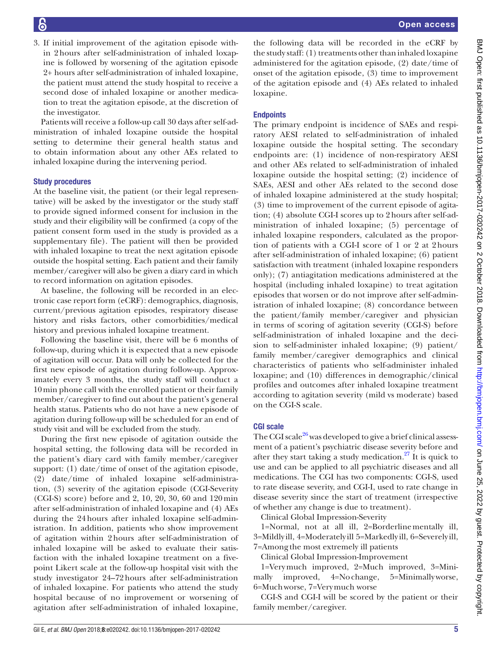3. If initial improvement of the agitation episode within 2hours after self-administration of inhaled loxapine is followed by worsening of the agitation episode 2+ hours after self-administration of inhaled loxapine, the patient must attend the study hospital to receive a second dose of inhaled loxapine or another medication to treat the agitation episode, at the discretion of the investigator.

Patients will receive a follow-up call 30 days after self-administration of inhaled loxapine outside the hospital setting to determine their general health status and to obtain information about any other AEs related to inhaled loxapine during the intervening period.

#### Study procedures

At the baseline visit, the patient (or their legal representative) will be asked by the investigator or the study staff to provide signed informed consent for inclusion in the study and their eligibility will be confirmed (a copy of the patient consent form used in the study is provided as a [supplementary file](https://dx.doi.org/10.1136/bmjopen-2017-020242)). The patient will then be provided with inhaled loxapine to treat the next agitation episode outside the hospital setting. Each patient and their family member/caregiver will also be given a diary card in which to record information on agitation episodes.

At baseline, the following will be recorded in an electronic case report form (eCRF): demographics, diagnosis, current/previous agitation episodes, respiratory disease history and risks factors, other comorbidities/medical history and previous inhaled loxapine treatment.

Following the baseline visit, there will be 6 months of follow-up, during which it is expected that a new episode of agitation will occur. Data will only be collected for the first new episode of agitation during follow-up. Approximately every 3 months, the study staff will conduct a 10min phone call with the enrolled patient or their family member/caregiver to find out about the patient's general health status. Patients who do not have a new episode of agitation during follow-up will be scheduled for an end of study visit and will be excluded from the study.

During the first new episode of agitation outside the hospital setting, the following data will be recorded in the patient's diary card with family member/caregiver support: (1) date/time of onset of the agitation episode, (2) date/time of inhaled loxapine self-administration, (3) severity of the agitation episode (CGI-Severity (CGI-S) score) before and 2, 10, 20, 30, 60 and 120min after self-administration of inhaled loxapine and (4) AEs during the 24hours after inhaled loxapine self-administration. In addition, patients who show improvement of agitation within 2hours after self-administration of inhaled loxapine will be asked to evaluate their satisfaction with the inhaled loxapine treatment on a fivepoint Likert scale at the follow-up hospital visit with the study investigator 24–72hours after self-administration of inhaled loxapine. For patients who attend the study hospital because of no improvement or worsening of agitation after self-administration of inhaled loxapine,

the following data will be recorded in the eCRF by the study staff: (1) treatments other than inhaled loxapine administered for the agitation episode, (2) date/time of onset of the agitation episode, (3) time to improvement of the agitation episode and (4) AEs related to inhaled loxapine.

#### **Endpoints**

The primary endpoint is incidence of SAEs and respiratory AESI related to self-administration of inhaled loxapine outside the hospital setting. The secondary endpoints are: (1) incidence of non-respiratory AESI and other AEs related to self-administration of inhaled loxapine outside the hospital setting; (2) incidence of SAEs, AESI and other AEs related to the second dose of inhaled loxapine administered at the study hospital; (3) time to improvement of the current episode of agitation; (4) absolute CGI-I scores up to 2hours after self-administration of inhaled loxapine; (5) percentage of inhaled loxapine responders, calculated as the proportion of patients with a CGI-I score of 1 or 2 at 2hours after self-administration of inhaled loxapine; (6) patient satisfaction with treatment (inhaled loxapine responders only); (7) antiagitation medications administered at the hospital (including inhaled loxapine) to treat agitation episodes that worsen or do not improve after self-administration of inhaled loxapine; (8) concordance between the patient/family member/caregiver and physician in terms of scoring of agitation severity (CGI-S) before self-administration of inhaled loxapine and the decision to self-administer inhaled loxapine; (9) patient/ family member/caregiver demographics and clinical characteristics of patients who self-administer inhaled loxapine; and (10) differences in demographic/clinical profiles and outcomes after inhaled loxapine treatment according to agitation severity (mild vs moderate) based on the CGI-S scale.

## CGI scale

The CGI scale $^{26}$  was developed to give a brief clinical assessment of a patient's psychiatric disease severity before and after they start taking a study medication.<sup>27</sup> It is quick to use and can be applied to all psychiatric diseases and all medications. The CGI has two components: CGI-S, used to rate disease severity, and CGI-I, used to rate change in disease severity since the start of treatment (irrespective of whether any change is due to treatment).

Clinical Global Impression-Severity

1=Normal, not at all ill, 2=Borderlinementally ill, 3=Mildly ill, 4=Moderately ill 5=Markedly ill, 6=Severely ill, 7=Amongthe most extremely ill patients

Clinical Global Impression-Improvement

1=Verymuch improved, 2=Much improved, 3=Minimally improved, 4=Nochange, 5=Minimallyworse, 6=Muchworse, 7=Verymuch worse

CGI-S and CGI-I will be scored by the patient or their family member/caregiver.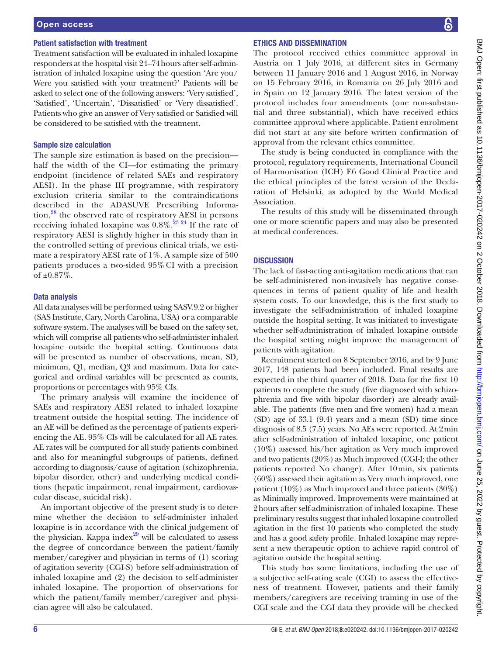## Open access

## Patient satisfaction with treatment

Treatment satisfaction will be evaluated in inhaled loxapine responders at the hospital visit 24–74hours after self-administration of inhaled loxapine using the question 'Are you/ Were you satisfied with your treatment?' Patients will be asked to select one of the following answers: 'Very satisfied', 'Satisfied', 'Uncertain', 'Dissatisfied' or 'Very dissatisfied'. Patients who give an answer of Very satisfied or Satisfied will be considered to be satisfied with the treatment.

#### Sample size calculation

The sample size estimation is based on the precision half the width of the CI—for estimating the primary endpoint (incidence of related SAEs and respiratory AESI). In the phase III programme, with respiratory exclusion criteria similar to the contraindications described in the ADASUVE Prescribing Information,<sup>28</sup> the observed rate of respiratory AESI in persons receiving inhaled loxapine was 0.8%.<sup>[23 24](#page-6-22)</sup> If the rate of respiratory AESI is slightly higher in this study than in the controlled setting of previous clinical trials, we estimate a respiratory AESI rate of 1%. A sample size of 500 patients produces a two-sided 95% CI with a precision of  $\pm 0.87\%$ .

#### Data analysis

All data analyses will be performed using SASV.9.2 or higher (SAS Institute, Cary, North Carolina, USA) or a comparable software system. The analyses will be based on the safety set, which will comprise all patients who self-administer inhaled loxapine outside the hospital setting. Continuous data will be presented as number of observations, mean, SD, minimum, Q1, median, Q3 and maximum. Data for categorical and ordinal variables will be presented as counts, proportions or percentages with 95% CIs.

The primary analysis will examine the incidence of SAEs and respiratory AESI related to inhaled loxapine treatment outside the hospital setting. The incidence of an AE will be defined as the percentage of patients experiencing the AE. 95% CIs will be calculated for all AE rates. AE rates will be computed for all study patients combined and also for meaningful subgroups of patients, defined according to diagnosis/cause of agitation (schizophrenia, bipolar disorder, other) and underlying medical conditions (hepatic impairment, renal impairment, cardiovascular disease, suicidal risk).

An important objective of the present study is to determine whether the decision to self-administer inhaled loxapine is in accordance with the clinical judgement of the physician. Kappa index $29$  will be calculated to assess the degree of concordance between the patient/family member/caregiver and physician in terms of (1) scoring of agitation severity (CGI-S) before self-administration of inhaled loxapine and (2) the decision to self-administer inhaled loxapine. The proportion of observations for which the patient/family member/caregiver and physician agree will also be calculated.

## Ethics and dissemination

The protocol received ethics committee approval in Austria on 1 July 2016, at different sites in Germany between 11 January 2016 and 1 August 2016, in Norway on 15 February 2016, in Romania on 26 July 2016 and in Spain on 12 January 2016. The latest version of the protocol includes four amendments (one non-substantial and three substantial), which have received ethics committee approval where applicable. Patient enrolment did not start at any site before written confirmation of approval from the relevant ethics committee.

The study is being conducted in compliance with the protocol, regulatory requirements, International Council of Harmonisation (ICH) E6 Good Clinical Practice and the ethical principles of the latest version of the Declaration of Helsinki, as adopted by the World Medical Association.

The results of this study will be disseminated through one or more scientific papers and may also be presented at medical conferences.

## **DISCUSSION**

The lack of fast-acting anti-agitation medications that can be self-administered non-invasively has negative consequences in terms of patient quality of life and health system costs. To our knowledge, this is the first study to investigate the self-administration of inhaled loxapine outside the hospital setting. It was initiated to investigate whether self-administration of inhaled loxapine outside the hospital setting might improve the management of patients with agitation.

Recruitment started on 8 September 2016, and by 9 June 2017, 148 patients had been included. Final results are expected in the third quarter of 2018. Data for the first 10 patients to complete the study (five diagnosed with schizophrenia and five with bipolar disorder) are already available. The patients (five men and five women) had a mean (SD) age of 33.1 (9.4) years and a mean (SD) time since diagnosis of 8.5 (7.5) years. No AEs were reported. At 2min after self-administration of inhaled loxapine, one patient (10%) assessed his/her agitation as Very much improved and two patients (20%) as Much improved (CGI-I; the other patients reported No change). After 10min, six patients (60%) assessed their agitation as Very much improved, one patient (10%) as Much improved and three patients (30%) as Minimally improved. Improvements were maintained at 2hours after self-administration of inhaled loxapine. These preliminary results suggest that inhaled loxapine controlled agitation in the first 10 patients who completed the study and has a good safety profile. Inhaled loxapine may represent a new therapeutic option to achieve rapid control of agitation outside the hospital setting.

This study has some limitations, including the use of a subjective self-rating scale (CGI) to assess the effectiveness of treatment. However, patients and their family members/caregivers are receiving training in use of the CGI scale and the CGI data they provide will be checked